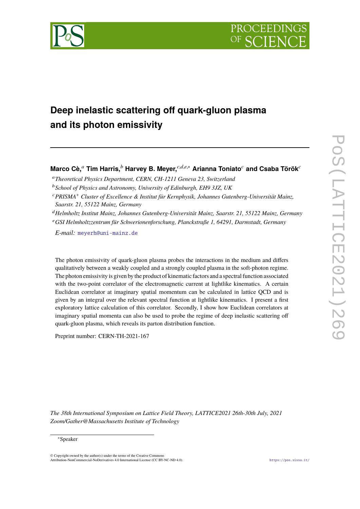

# **Deep inelastic scattering off quark-gluon plasma and its photon emissivity**

**Marco Cè,***<sup>a</sup>* **Tim Harris,***<sup>b</sup>* **Harvey B. Meyer,***c*,*d*,*e*,<sup>∗</sup> **Arianna Toniato***<sup>c</sup>* **and Csaba Török***<sup>c</sup>*

<sup>a</sup>*Theoretical Physics Department, CERN, CH-1211 Geneva 23, Switzerland*

<sup>b</sup>*School of Physics and Astronomy, University of Edinburgh, EH9 3JZ, UK*

<sup>d</sup>*Helmholtz Institut Mainz, Johannes Gutenberg-Universität Mainz, Saarstr. 21, 55122 Mainz, Germany*

<sup>e</sup>*GSI Helmholtzzentrum für Schwerionenforschung, Planckstraße 1, 64291, Darmstadt, Germany*

*E-mail:* [meyerh@uni-mainz.de](mailto:meyerh@uni-mainz.de)

The photon emissivity of quark-gluon plasma probes the interactions in the medium and differs qualitatively between a weakly coupled and a strongly coupled plasma in the soft-photon regime. The photon emissivity is given by the product of kinematic factors and a spectral function associated with the two-point correlator of the electromagnetic current at lightlike kinematics. A certain Euclidean correlator at imaginary spatial momentum can be calculated in lattice QCD and is given by an integral over the relevant spectral function at lightlike kinematics. I present a first exploratory lattice calculation of this correlator. Secondly, I show how Euclidean correlators at imaginary spatial momenta can also be used to probe the regime of deep inelastic scattering off quark-gluon plasma, which reveals its parton distribution function.

Preprint number: CERN-TH-2021-167

*The 38th International Symposium on Lattice Field Theory, LATTICE2021 26th-30th July, 2021 Zoom/Gather@Massachusetts Institute of Technology*

#### <sup>∗</sup>Speaker

© Copyright owned by the author(s) under the terms of the Creative Commons Attribution-NonCommercial-NoDerivatives 4.0 International License (CC BY-NC-ND 4.0). <https://pos.sissa.it/>

<sup>c</sup>*PRISMA*<sup>+</sup> *Cluster of Excellence & Institut für Kernphysik, Johannes Gutenberg-Universität Mainz, Saarstr. 21, 55122 Mainz, Germany*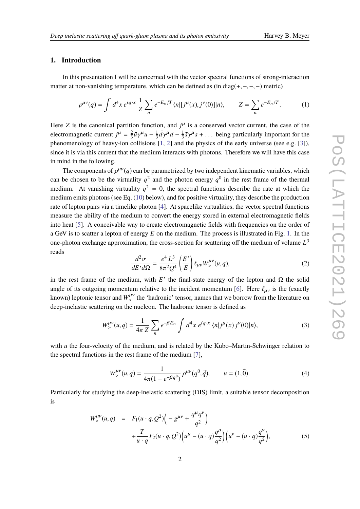# **1. Introduction**

In this presentation I will be concerned with the vector spectral functions of strong-interaction matter at non-vanishing temperature, which can be defined as (in diag(+,−,−,−) metric)

$$
\rho^{\mu\nu}(q) = \int d^4x \, e^{iq \cdot x} \, \frac{1}{Z} \sum_n e^{-E_n/T} \langle n | [j^\mu(x), j^\nu(0)] | n \rangle, \qquad Z = \sum_n e^{-E_n/T}.\tag{1}
$$

Here *Z* is the canonical partition function, and  $j^{\mu}$  is a conserved vector current, the case of the electromagnetic current  $j^{\mu} = \frac{2}{3}$  $\frac{2}{3}\bar{u}\gamma^{\mu}u - \frac{1}{3}$  $\frac{1}{3}\bar{d}\gamma^{\mu}d - \frac{1}{3}$  $\frac{1}{3}\bar{s}\gamma^{\mu}s + \dots$  being particularly important for the phenomenology of heavy-ion collisions [\[1,](#page-6-0) [2\]](#page-6-1) and the physics of the early universe (see e.g. [\[3\]](#page-6-2)), since it is via this current that the medium interacts with photons. Therefore we will have this case in mind in the following.

The components of  $\rho^{\mu\nu}(q)$  can be parametrized by two independent kinematic variables, which<br>he above to be the virtuality  $\sigma^2$  and the photon energy  $q^0$  in the gost frame of the thermal can be chosen to be the virtuality  $q^2$  and the photon energy  $q^0$  in the rest frame of the thermal medium. At vanishing virtuality  $q^2 = 0$ , the spectral functions describe the rate at which the medium emits photons (see Eq. [\(10\)](#page-3-0) below), and for positive virtuality, they describe the production rate of lepton pairs via a timelike photon [\[4\]](#page-7-0). At spacelike virtualities, the vector spectral functions measure the ability of the medium to convert the energy stored in external electromagnetic fields into heat [\[5\]](#page-7-1). A conceivable way to create electromagnetic fields with frequencies on the order of a GeV is to scatter a lepton of energy *E* on the medium. The process is illustrated in Fig. [1.](#page-2-0) In the one-photon exchange approximation, the cross-section for scattering off the medium of volume *L* 3 reads

$$
\frac{d^2\sigma}{dE'd\Omega} = \frac{e^4 L^3}{8\pi^2 Q^4} \left(\frac{E'}{E}\right) \ell_{\mu\nu} W^{\mu\nu}_{>}(u, q),\tag{2}
$$

in the rest frame of the medium, with  $E'$  the final-state energy of the lepton and  $\Omega$  the solid angle of its outgoing momentum relative to the incident momentum [\[6\]](#page-7-2). Here  $\ell_{\mu\nu}$  is the (exactly known) leptonic tensor and  $W^{\mu\nu}_{\mu}$  the 'hadronic' tensor, names that we borrow from the literature on the method of the method of the state of the state of the method of the state of the state of the state of the sta deep-inelastic scattering on the nucleon. The hadronic tensor is defined as

$$
W_{>}^{\mu\nu}(u,q) = \frac{1}{4\pi Z} \sum_{n} e^{-\beta E_n} \int d^4x \ e^{iq \cdot x} \langle n|j^{\mu}(x) j^{\nu}(0)|n\rangle, \tag{3}
$$

with *u* the four-velocity of the medium, and is related by the Kubo–Martin-Schwinger relation to the spectral functions in the rest frame of the medium [\[7\]](#page-7-3),

$$
W_{>}^{\mu\nu}(u,q) = \frac{1}{4\pi(1 - e^{-\beta q^0})} \rho^{\mu\nu}(q^0, \vec{q}), \qquad u = (1, \vec{0}).
$$
 (4)

Particularly for studying the deep-inelastic scattering (DIS) limit, a suitable tensor decomposition is

$$
W_{>}^{\mu\nu}(u,q) = F_1(u \cdot q, Q^2) \Big( -g^{\mu\nu} + \frac{q^{\mu} q^{\nu}}{q^2} \Big) + \frac{T}{u \cdot q} F_2(u \cdot q, Q^2) \Big( u^{\mu} - (u \cdot q) \frac{q^{\mu}}{q^2} \Big) \Big( u^{\nu} - (u \cdot q) \frac{q^{\nu}}{q^2} \Big),
$$
(5)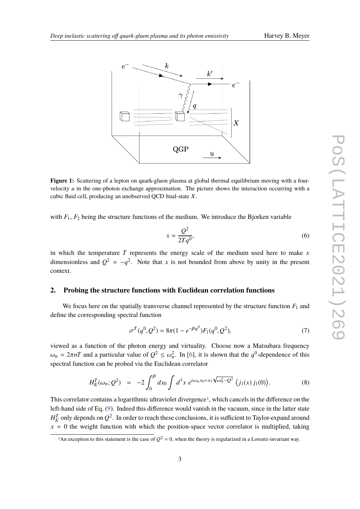<span id="page-2-0"></span>

**Figure 1:** Scattering of a lepton on quark-gluon plasma at global thermal equilibrium moving with a fourvelocity *u* in the one-photon exchange approximation. The picture shows the interaction occurring with a cubic fluid cell, producing an unobserved QCD final-state *X*.

with  $F_1$ ,  $F_2$  being the structure functions of the medium. We introduce the Bjorken variable

$$
x = \frac{Q^2}{2Tq^0},\tag{6}
$$

in which the temperature *T* represents the energy scale of the medium used here to make *x* dimensionless and  $Q^2 = -q^2$ . Note that *x* is not bounded from above by unity in the present context.

### **2. Probing the structure functions with Euclidean correlation functions**

We focus here on the spatially transverse channel represented by the structure function  $F_1$  and define the corresponding spectral function

$$
\sigma^T(q^0, Q^2) = 8\pi (1 - e^{-\beta q^0}) F_1(q^0, Q^2),\tag{7}
$$

viewed as a function of the photon energy and virtuality. Choose now a Matsubara frequency  $\omega_n = 2\pi nT$  and a particular value of  $Q^2 \leq \omega_n^2$ . In [\[6\]](#page-7-2), it is shown that the *q*<sup>0</sup>-dependence of this spectral function can be probed via the Euclidean correlator

$$
H_E^T(\omega_n; Q^2) = -2 \int_0^\beta dx_0 \int d^3x \ e^{i\omega_n x_0 + x_3 \sqrt{\omega_n^2 - Q^2}} \langle j_1(x) j_1(0) \rangle.
$$
 (8)

This correlator contains a logarithmic ultraviolet divergence<sup>[1](#page-2-1)</sup>, which cancels in the difference on the left-hand side of Eq. [\(9\)](#page-3-1). Indeed this difference would vanish in the vacuum, since in the latter state  $H_E^T$  only depends on  $Q^2$ . In order to reach these conclusions, it is sufficient to Taylor-expand around  $x = 0$  the weight function with which the position-space vector correlator is multiplied, taking

<span id="page-2-1"></span><sup>&</sup>lt;sup>1</sup>An exception to this statement is the case of  $Q^2 = 0$ , when the theory is regularized in a Lorentz-invariant way.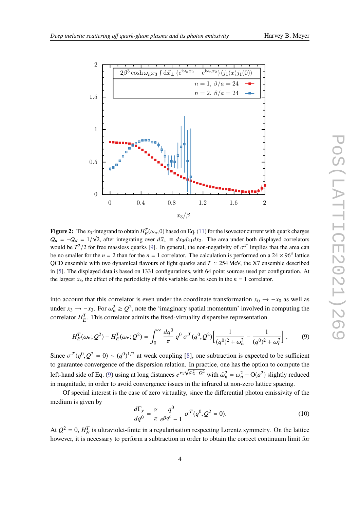<span id="page-3-2"></span>

**Figure 2:** The  $x_3$ -integrand to obtain  $H_L^T(\omega_n, 0)$  based on Eq. [\(11\)](#page-4-0) for the isovector current with quark charges  $Q_u = -Q_d = 1/\sqrt{2}$ , after integrating over  $d\vec{x}_\perp \equiv dx_0 dx_1 dx_2$ . The area under both displayed correlators would be  $T^2/2$  for free massless quarks [\[9\]](#page-7-4). In general, the non-negativity of  $\sigma^T$  implies that the area can<br>be no smaller for the  $r = 2$  then for the  $r = 1$  correlator. The coloulation is performed on a 24  $\times$  063 be no smaller for the  $n = 2$  than for the  $n = 1$  correlator. The calculation is performed on a  $24 \times 96^3$  lattice QCD ensemble with two dynamical flavours of light quarks and  $T \approx 254$  MeV, the X7 ensemble described in [\[5\]](#page-7-1). The displayed data is based on 1331 configurations, with 64 point sources used per configuration. At the largest  $x_3$ , the effect of the periodicity of this variable can be seen in the  $n = 1$  correlator.

into account that this correlator is even under the coordinate transformation  $x_0 \rightarrow -x_0$  as well as under  $x_3 \rightarrow -x_3$ . For  $\omega_n^2 \ge Q^2$ , note the 'imaginary spatial momentum' involved in computing the correlation  $U^T$ . This correlation of mito the fixed virtuality disposition presentation. correlator  $H_E^T$ . This correlator admits the fixed-virtuality dispersive representation

<span id="page-3-1"></span>
$$
H_E^T(\omega_n; Q^2) - H_E^T(\omega_r; Q^2) = \int_0^\infty \frac{dq^0}{\pi} q^0 \sigma^T(q^0, Q^2) \left[ \frac{1}{(q^0)^2 + \omega_n^2} - \frac{1}{(q^0)^2 + \omega_r^2} \right].
$$
 (9)

Since  $\sigma^T(q^0, Q^2 = 0) \sim (q^0)^{1/2}$  at weak coupling [\[8\]](#page-7-5), one subtraction is expected to be sufficient to guarantee convergence of the dispersion relation. In practice, one has the option to compute the left-hand side of Eq. [\(9\)](#page-3-1) using at long distances  $e^{x_3 \sqrt{\omega_n^2 - Q^2}}$  with  $\hat{\omega}_n^2 = \omega_n^2 - O(a^2)$  slightly reduced in magnitude, in order to avoid convergence issues in the infrared at non-zero lattice spacing.

Of special interest is the case of zero virtuality, since the differential photon emissivity of the medium is given by

<span id="page-3-0"></span>
$$
\frac{d\Gamma_{\gamma}}{dq^0} = \frac{\alpha}{\pi} \frac{q^0}{e^{\beta q^0} - 1} \sigma^T(q^0, Q^2 = 0).
$$
 (10)

At  $Q^2 = 0$ ,  $H_E^T$  is ultraviolet-finite in a regularisation respecting Lorentz symmetry. On the lattice however, it is necessary to perform a subtraction in order to obtain the correct continuum limit for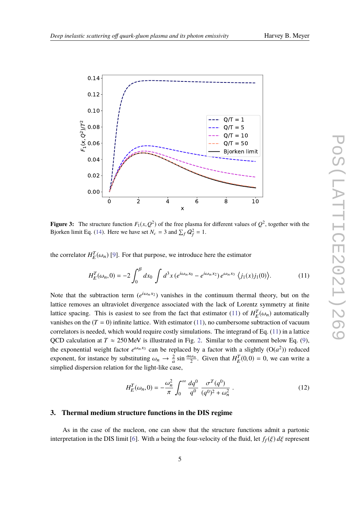<span id="page-4-1"></span>

**Figure 3:** The structure function  $F_1(x, Q^2)$  of the free plasma for different values of  $Q^2$ , together with the Biorkan limit Eq. (14). Here we have set  $N = 3$  and  $\Sigma Q^2 = 1$ Bjorken limit Eq. [\(14\)](#page-5-0). Here we have set  $N_c = 3$  and  $\sum_f Q_f^2 = 1$ .

the correlator  $H_E^T(\omega_n)$  [\[9\]](#page-7-4). For that purpose, we introduce here the estimator

<span id="page-4-0"></span>
$$
H_E^T(\omega_n, 0) = -2 \int_0^B dx_0 \int d^3x \left( e^{i\omega_n x_0} - e^{i\omega_n x_2} \right) e^{\omega_n x_3} \left\langle j_1(x) j_1(0) \right\rangle. \tag{11}
$$

Note that the subtraction term  $(e^{i\omega_n x_2})$  vanishes in the continuum thermal theory, but on the lattice removes an ultraviolet divergence associated with the lack of Lorentz symmetry at finite lattice spacing. This is easiest to see from the fact that estimator [\(11\)](#page-4-0) of  $H_L^T(\omega_n)$  automatically vanishes on the  $(T = 0)$  infinite lattice. With estimator [\(11\)](#page-4-0), no cumbersome subtraction of vacuum correlators is needed, which would require costly simulations. The integrand of Eq. [\(11\)](#page-4-0) in a lattice QCD calculation at  $T \approx 250$  MeV is illustrated in Fig. [2.](#page-3-2) Similar to the comment below Eq. [\(9\)](#page-3-1), the exponential weight factor  $e^{\omega_n x_3}$  can be replaced by a factor with a slightly  $(O(a^2))$  reduced exponent, for instance by substituting  $\omega_n \to \frac{2}{a} \sin \frac{a\omega_n}{2}$ . Given that  $H_E^T(0,0) = 0$ , we can write a simplied diagonalized and for the light like ages. simplied dispersion relation for the light-like case,

$$
H_E^T(\omega_n, 0) = -\frac{\omega_n^2}{\pi} \int_0^\infty \frac{dq^0}{q^0} \frac{\sigma^T(q^0)}{(q^0)^2 + \omega_n^2} \,. \tag{12}
$$

# **3. Thermal medium structure functions in the DIS regime**

As in the case of the nucleon, one can show that the structure functions admit a partonic interpretation in the DIS limit [\[6\]](#page-7-2). With *u* being the four-velocity of the fluid, let  $f_f(\xi) d\xi$  represent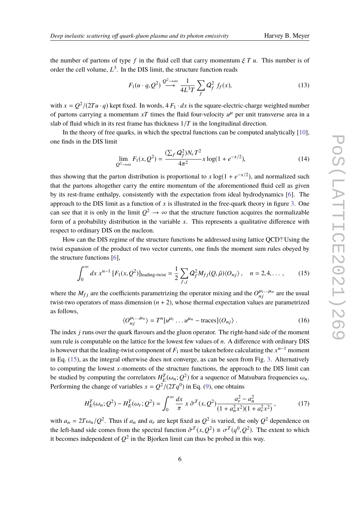the number of partons of type f in the fluid cell that carry momentum  $\zeta T u$ . This number is of order the cell volume, *L* 3 . In the DIS limit, the structure function reads

$$
F_1(u \cdot q, Q^2) \xrightarrow{Q^2 \to \infty} \frac{1}{4L^3T} \sum_f Q_f^2 f_f(x), \tag{13}
$$

with  $x = Q^2/(2Tu \cdot q)$  kept fixed. In words,  $4F_1 \cdot dx$  is the square-electric-charge weighted number of partons carrying a momentum  $xT$  times the fluid four-velocity  $u^{\mu}$  per unit transverse area in a slab of fluid which in its rest frame has thickness 1/*T* in the longitudinal direction.

In the theory of free quarks, in which the spectral functions can be computed analytically [\[10\]](#page-7-6), one finds in the DIS limit

<span id="page-5-0"></span>
$$
\lim_{Q^2 \to \infty} F_1(x, Q^2) = \frac{(\sum_f Q_f^2) N_c T^2}{4\pi^2} x \log(1 + e^{-x/2}),
$$
\n(14)

thus showing that the parton distribution is proportional to  $x \log(1 + e^{-x/2})$ , and normalized such that the partons altogether carry the entire momentum of the aforementioned fluid cell as given by its rest-frame enthalpy, consistently with the expectation from ideal hydrodynamics [\[6\]](#page-7-2). The approach to the DIS limit as a function of  $x$  is illustrated in the free-quark theory in figure [3.](#page-4-1) One can see that it is only in the limit  $Q^2 \to \infty$  that the structure function acquires the normalizable form of a probability distribution in the variable *x*. This represents a qualitative difference with respect to ordinary DIS on the nucleon.

How can the DIS regime of the structure functions be addressed using lattice QCD? Using the twist expansion of the product of two vector currents, one finds the moment sum rules obeyed by the structure functions [\[6\]](#page-7-2),

<span id="page-5-1"></span>
$$
\int_0^\infty dx \, x^{n-1} \left[ F_1(x, Q^2) \right]_{\text{leading-twist}} = \frac{1}{2} \sum_{f, j} Q_f^2 M_{fj}(Q, \tilde{\mu}) \langle O_{nj} \rangle \,, \quad n = 2, 4, \dots \,, \tag{15}
$$

where the  $M_{fj}$  are the coefficients parametrizing the operator mixing and the  $O_{nj}^{\mu_1...\mu_n}$  are the usual twist-two operators of mass dimension  $(n + 2)$ , whose thermal expectation values are parametrized as follows,

$$
\langle O_{nj}^{\mu_1...\mu_n} \rangle = T^n[u^{\mu_1} \dots u^{\mu_n} - \text{traces}]\langle O_{nj} \rangle. \tag{16}
$$

The index *j* runs over the quark flavours and the gluon operator. The right-hand side of the moment sum rule is computable on the lattice for the lowest few values of *n*. A difference with ordinary DIS is however that the leading-twist component of *F*<sup>1</sup> must be taken before calculating the *x* <sup>n</sup>−<sup>1</sup> moment in Eq. [\(15\)](#page-5-1), as the integral otherwise does not converge, as can be seen from Fig. [3.](#page-4-1) Alternatively to computing the lowest *x*-moments of the structure functions, the approach to the DIS limit can be studied by computing the correlators  $H_E^T(\omega_n; Q^2)$  for a sequence of Matsubara frequencies  $\omega_n$ .<br>Deferming the shapes of worishles  $y = Q^2/(2\pi s^0)$  in Eq. (0), and obtains Performing the change of variables  $x = Q^2/(2Tq^0)$  in Eq. [\(9\)](#page-3-1), one obtains

$$
H_E^T(\omega_n; Q^2) - H_E^T(\omega_r; Q^2) = \int_0^\infty \frac{dx}{\pi} x \,\hat{\sigma}^T(x, Q^2) \frac{a_r^2 - a_n^2}{(1 + a_n^2 x^2)(1 + a_r^2 x^2)},\tag{17}
$$

with  $a_n = 2T\omega_n/Q^2$ . Thus if  $a_n$  and  $a_r$  are kept fixed as  $Q^2$  is varied, the only  $Q^2$  dependence on the left hand side assume from the appetual function  $\hat{\sigma}_n^T(\omega Q^2) = -T(\omega^0/Q^2)$ . The superior to which the left-hand side comes from the spectral function  $\hat{\sigma}^T(x, Q^2) \equiv \sigma^T(q^0, Q^2)$ . The extent to which it becomes independent of  $Q^2$  in the Bioglean limit can thus be probed in this way. it becomes independent of  $Q^2$  in the Bjorken limit can thus be probed in this way.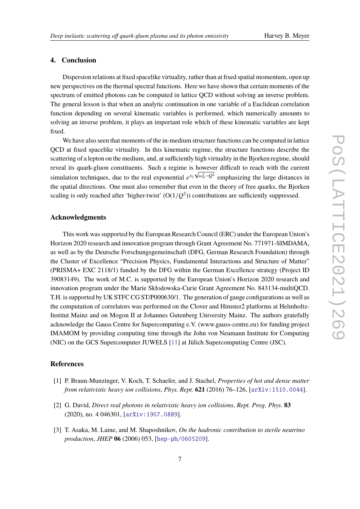# **4. Conclusion**

Dispersion relations at fixed spacelike virtuality, rather than at fixed spatial momentum, open up new perspectives on the thermal spectral functions. Here we have shown that certain moments of the spectrum of emitted photons can be computed in lattice QCD without solving an inverse problem. The general lesson is that when an analytic continuation in one variable of a Euclidean correlation function depending on several kinematic variables is performed, which numerically amounts to solving an inverse problem, it plays an important role which of these kinematic variables are kept fixed.

We have also seen that moments of the in-medium structure functions can be computed in lattice QCD at fixed spacelike virtuality. In this kinematic regime, the structure functions describe the scattering of a lepton on the medium, and, at sufficiently high virtuality in the Bjorken regime, should reveal its quark-gluon constituents. Such a regime is however difficult to reach with the current simulation techniques, due to the real exponential  $e^{x_3\sqrt{\omega_n^2}-Q^2}$  emphasizing the large distances in the spatial directions. One must also remember that even in the theory of free quarks, the Bjorken scaling is only reached after 'higher-twist'  $(O(1/Q^2))$  contributions are sufficiently suppressed.

# **Acknowledgments**

This work was supported by the European Research Council (ERC) under the European Union's Horizon 2020 research and innovation program through Grant Agreement No. 771971-SIMDAMA, as well as by the Deutsche Forschungsgemeinschaft (DFG, German Research Foundation) through the Cluster of Excellence "Precision Physics, Fundamental Interactions and Structure of Matter" (PRISMA+ EXC 2118/1) funded by the DFG within the German Excellence strategy (Project ID 39083149). The work of M.C. is supported by the European Union's Horizon 2020 research and innovation program under the Marie Skłodowska-Curie Grant Agreement No. 843134-multiQCD. T.H. is supported by UK STFC CG ST/P000630/1. The generation of gauge configurations as well as the computation of correlators was performed on the Clover and Himster2 platforms at Helmholtz-Institut Mainz and on Mogon II at Johannes Gutenberg University Mainz. The authors gratefully acknowledge the Gauss Centre for Supercomputing e.V. (www.gauss-centre.eu) for funding project IMAMOM by providing computing time through the John von Neumann Institute for Computing (NIC) on the GCS Supercomputer JUWELS [\[11\]](#page-7-7) at Jülich Supercomputing Centre (JSC).

# **References**

- <span id="page-6-0"></span>[1] P. Braun-Munzinger, V. Koch, T. Schaefer, and J. Stachel, *Properties of hot and dense matter from relativistic heavy ion collisions*, *Phys. Rept.* **621** (2016) 76–126, [[arXiv:1510.0044](http://xxx.lanl.gov/abs/1510.0044)].
- <span id="page-6-1"></span>[2] G. David, *Direct real photons in relativistic heavy ion collisions*, *Rept. Prog. Phys.* **83** (2020), no. 4 046301, [[arXiv:1907.0889](http://xxx.lanl.gov/abs/1907.0889)].
- <span id="page-6-2"></span>[3] T. Asaka, M. Laine, and M. Shaposhnikov, *On the hadronic contribution to sterile neutrino production*, *JHEP* **06** (2006) 053, [[hep-ph/0605209](http://xxx.lanl.gov/abs/hep-ph/0605209)].